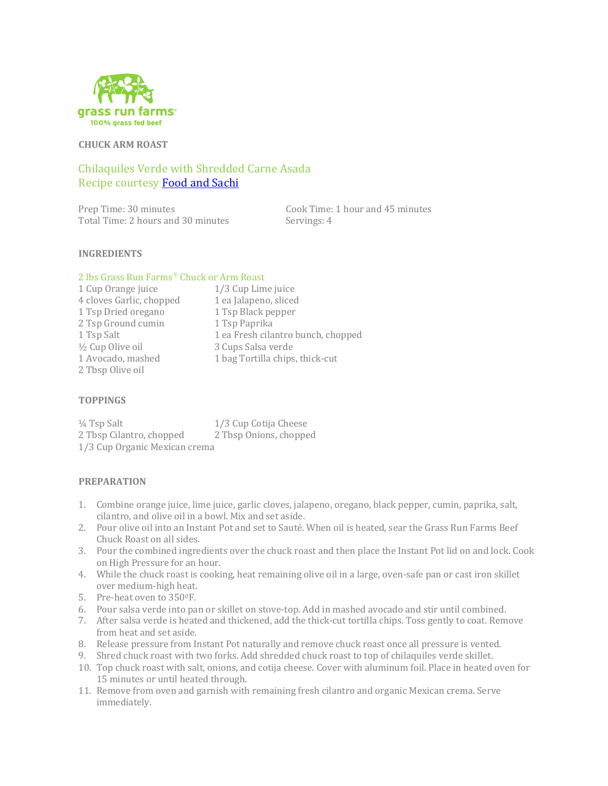

### **CHUCK ARM ROAST**

# Chilaquiles Verde with Shredded Carne Asada Recipe courtesy Food and Sachi

Prep Time: 30 minutes Cook Time: 1 hour and 45 minutes Total Time: 2 hours and 30 minutes Servings: 4

## **INGREDIENTS**

## 2 lbs Grass Run Farms® Chuck or Arm Roast

| 1 Cup Orange juice       | 1/3 Cup Lime juice                 |
|--------------------------|------------------------------------|
| 4 cloves Garlic, chopped | 1 ea Jalapeno, sliced              |
| 1 Tsp Dried oregano      | 1 Tsp Black pepper                 |
| 2 Tsp Ground cumin       | 1 Tsp Paprika                      |
| 1 Tsp Salt               | 1 ea Fresh cilantro bunch, chopped |
| 1/2 Cup Olive oil        | 3 Cups Salsa verde                 |
| 1 Avocado, mashed        | 1 bag Tortilla chips, thick-cut    |
| 2 Tbsp Olive oil         |                                    |

#### **TOPPINGS**

 $\frac{1}{4}$  Tsp Salt  $\frac{1}{3}$  Cup Cotija Cheese 2 Tbsp Cilantro, chopped 2 Tbsp Onions, chopped 1/3 Cup Organic Mexican crema

#### **PREPARATION**

- 1. Combine orange juice, lime juice, garlic cloves, jalapeno, oregano, black pepper, cumin, paprika, salt, cilantro, and olive oil in a bowl. Mix and set aside.
- 2. Pour olive oil into an Instant Pot and set to Sauté. When oil is heated, sear the Grass Run Farms Beef Chuck Roast on all sides.
- 3. Pour the combined ingredients over the chuck roast and then place the Instant Pot lid on and lock. Cook on High Pressure for an hour.
- 4. While the chuck roast is cooking, heat remaining olive oil in a large, oven-safe pan or cast iron skillet over medium-high heat.
- 5. Pre-heat oven to  $350^{\circ}$ F.
- 6. Pour salsa verde into pan or skillet on stove-top. Add in mashed avocado and stir until combined.
- 7. After salsa verde is heated and thickened, add the thick-cut tortilla chips. Toss gently to coat. Remove from heat and set aside.
- 8. Release pressure from Instant Pot naturally and remove chuck roast once all pressure is vented.
- 9. Shred chuck roast with two forks. Add shredded chuck roast to top of chilaquiles verde skillet.
- 10. Top chuck roast with salt, onions, and cotija cheese. Cover with aluminum foil. Place in heated oven for 15 minutes or until heated through.
- 11. Remove from oven and garnish with remaining fresh cilantro and organic Mexican crema. Serve immediately.